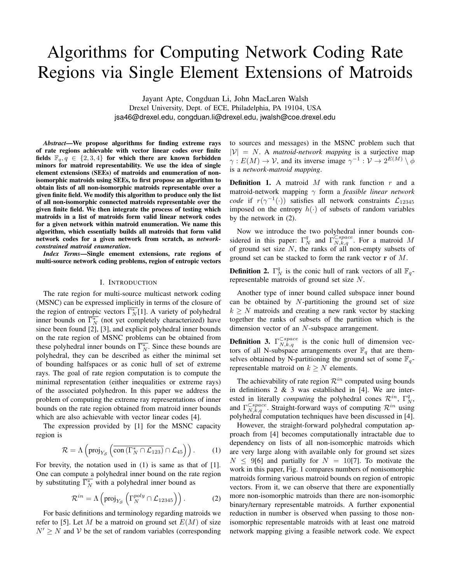# Algorithms for Computing Network Coding Rate Regions via Single Element Extensions of Matroids

Jayant Apte, Congduan Li, John MacLaren Walsh Drexel University, Dept. of ECE, Philadelphia, PA 19104, USA jsa46@drexel.edu, congduan.li@drexel.edu, jwalsh@coe.drexel.edu

*Abstract*—We propose algorithms for finding extreme rays of rate regions achievable with vector linear codes over finite fields  $\mathbb{F}_q, q \in \{2, 3, 4\}$  for which there are known forbidden minors for matroid representability. We use the idea of single element extensions (SEEs) of matroids and enumeration of nonisomorphic matroids using SEEs, to first propose an algorithm to obtain lists of all non-isomorphic matroids representable over a given finite field. We modify this algorithm to produce only the list of all non-isomorphic connected matroids representable over the given finite field. We then integrate the process of testing which matroids in a list of matroids form valid linear network codes for a given network within matroid enumeration. We name this algorithm, which essentially builds all matroids that form valid network codes for a given network from scratch, as *networkconstrained matroid enumeration*.

*Index Terms*—Single emement extensions, rate regions of multi-source network coding problems, region of entropic vectors

#### I. INTRODUCTION

The rate region for multi-source multicast network coding (MSNC) can be expressed implicitly in terms of the closure of the region of entropic vectors  $\overline{\Gamma_N^*[1]}$ . A variety of polyhedral inner bounds on  $\overline{\Gamma_N^*}$  (not yet completely characterized) have since been found [2], [3], and explicit polyhedral inner bounds on the rate region of MSNC problems can be obtained from these polyhedral inner bounds on  $\overline{\Gamma_N^*}$ . Since these bounds are polyhedral, they can be described as either the minimal set of bounding halfspaces or as conic hull of set of extreme rays. The goal of rate region computation is to compute the minimal representation (either inequalities or extreme rays) of the associated polyhedron. In this paper we address the problem of computing the extreme ray representations of inner bounds on the rate region obtained from matroid inner bounds which are also achievable with vector linear codes [4].

The expression provided by [1] for the MSNC capacity region is

$$
\mathcal{R} = \Lambda \left( \text{proj}_{Y_{\mathcal{S}}} \left( \overline{\text{con} \left( \Gamma_N^* \cap \mathcal{L}_{123} \right)} \cap \mathcal{L}_{45} \right) \right). \tag{1}
$$

For brevity, the notation used in (1) is same as that of [1]. One can compute a polyhedral inner bound on the rate region by substituting  $\overline{\Gamma_N^*}$  with a polyhedral inner bound as

$$
\mathcal{R}^{in} = \Lambda \left( \text{proj}_{Y_{\mathcal{S}}} \left( \Gamma_N^{poly} \cap \mathcal{L}_{12345} \right) \right). \tag{2}
$$

For basic definitions and terminology regarding matroids we refer to [5]. Let M be a matroid on ground set  $E(M)$  of size  $N' \geq N$  and V be the set of random variables (corresponding to sources and messages) in the MSNC problem such that  $|V| = N$ . A *matroid-network mapping* is a surjective map  $\gamma: E(M) \to V$ , and its inverse image  $\gamma^{-1}: V \to 2^{E(M)} \setminus \phi$ is a *network-matroid mapping*.

**Definition 1.** A matroid  $M$  with rank function  $r$  and a matroid-network mapping γ form a *feasible linear network code* if  $r(\gamma^{-1}(\cdot))$  satisfies all network constraints  $\mathcal{L}_{12345}$ imposed on the entropy  $h(\cdot)$  of subsets of random variables by the network in (2).

Now we introduce the two polyhedral inner bounds considered in this paper:  $\Gamma_N^q$  and  $\Gamma_{N,k,q}^{\zeta space}$ . For a matroid M of ground set size  $N$ , the ranks of all non-empty subsets of ground set can be stacked to form the rank vector r of M.

**Definition 2.**  $\Gamma_N^q$  is the conic hull of rank vectors of all  $\mathbb{F}_q$ representable matroids of ground set size N.

Another type of inner bound called subspace inner bound can be obtained by  $N$ -partitioning the ground set of size  $k \geq N$  matroids and creating a new rank vector by stacking together the ranks of subsets of the partition which is the dimension vector of an N-subspace arrangement.

**Definition 3.**  $\Gamma_{N,k,q}^{Cspace}$  is the conic hull of dimension vectors of all N-subspace arrangements over  $\mathbb{F}_q$  that are themselves obtained by N-partitioning the ground set of some  $\mathbb{F}_q$ representable matroid on  $k \geq N$  elements.

The achievability of rate region  $\mathcal{R}^{in}$  computed using bounds in definitions  $2 \& 3$  was established in [4]. We are interested in literally *computing* the polyhedral cones  $\mathcal{R}^{in}$ ,  $\Gamma_N^q$ , and  $\Gamma_{N,k,q}^{\text{Cspace}}$ . Straight-forward ways of computing  $\mathcal{R}^{in}$  using polyhedral computation techniques have been discussed in [4].

However, the straight-forward polyhedral computation approach from [4] becomes computationally intractable due to dependency on lists of all non-isomorphic matroids which are very large along with available only for ground set sizes  $N \leq 9[6]$  and partially for  $N = 10[7]$ . To motivate the work in this paper, Fig. 1 compares numbers of nonisomorphic matroids forming various matroid bounds on region of entropic vectors. From it, we can observe that there are exponentially more non-isomorphic matroids than there are non-isomorphic binary/ternary representable matroids. A further exponential reduction in number is observed when passing to those nonisomorphic representable matroids with at least one matroid network mapping giving a feasible network code. We expect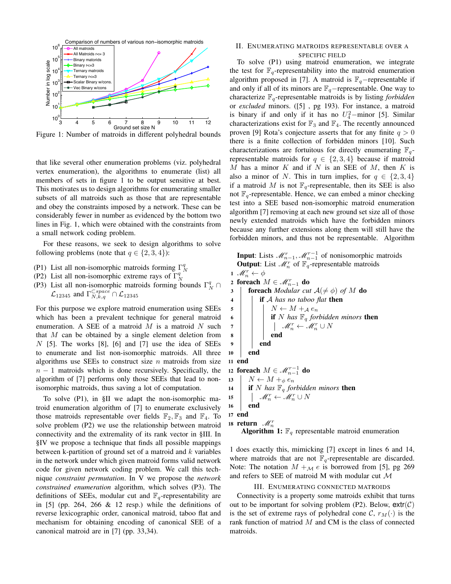

Figure 1: Number of matroids in different polyhedral bounds

that like several other enumeration problems (viz. polyhedral vertex enumeration), the algorithms to enumerate (list) all members of sets in figure 1 to be output sensitive at best. This motivates us to design algorithms for enumerating smaller subsets of all matroids such as those that are representable and obey the constraints imposed by a network. These can be considerably fewer in number as evidenced by the bottom two lines in Fig. 1, which were obtained with the constraints from a small network coding problem.

For these reasons, we seek to design algorithms to solve following problems (note that  $q \in \{2, 3, 4\}$ ):

- (P1) List all non-isomorphic matroids forming  $\Gamma_N^q$
- (P2) List all non-isomorphic extreme rays of  $\Gamma_N^q$
- (P3) List all non-isomorphic matroids forming bounds  $\Gamma_N^q \cap$  $\mathcal{L}_{12345}$  and  $\Gamma_{N,k,q}^{\sub{space}} \cap \mathcal{L}_{12345}$

For this purpose we explore matroid enumeration using SEEs which has been a prevalent technique for general matroid enumeration. A SEE of a matroid  $M$  is a matroid  $N$  such that  $M$  can be obtained by a single element deletion from  $N$  [5]. The works [8], [6] and [7] use the idea of SEEs to enumerate and list non-isomorphic matroids. All three algorithms use SEEs to construct size  $n$  matroids from size  $n - 1$  matroids which is done recursively. Specifically, the algorithm of [7] performs only those SEEs that lead to nonisomorphic matroids, thus saving a lot of computation.

To solve (P1), in §II we adapt the non-isomorphic matroid enumeration algorithm of [7] to enumerate exclusively those matroids representable over fields  $\mathbb{F}_2$ ,  $\mathbb{F}_3$  and  $\mathbb{F}_4$ . To solve problem (P2) we use the relationship between matroid connectivity and the extremality of its rank vector in §III. In §IV we propose a technique that finds all possible mappings between k-partition of ground set of a matroid and  $k$  variables in the network under which given matroid forms valid network code for given network coding problem. We call this technique *constraint permutation*. In V we propose the *network constrained enumeration* algorithm, which solves (P3). The definitions of SEEs, modular cut and  $\mathbb{F}_q$ -representability are in  $[5]$  (pp. 264, 266 & 12 resp.) while the definitions of reverse lexicographic order, canonical matroid, taboo flat and mechanism for obtaining encoding of canonical SEE of a canonical matroid are in [7] (pp. 33,34).

## II. ENUMERATING MATROIDS REPRESENTABLE OVER A

SPECIFIC FIELD To solve (P1) using matroid enumeration, we integrate the test for  $\mathbb{F}_q$ -representability into the matroid enumeration algorithm proposed in [7]. A matroid is  $\mathbb{F}_q$ -representable if and only if all of its minors are  $\mathbb{F}_q$ -representable. One way to characterize Fq-representable matroids is by listing *forbidden* or *excluded* minors. ([5] , pg 193). For instance, a matroid is binary if and only if it has no  $U_4^2$  -minor [5]. Similar characterizations exist for  $\mathbb{F}_3$  and  $\mathbb{F}_4$ . The recently announced proven [9] Rota's conjecture asserts that for any finite  $q > 0$ there is a finite collection of forbidden minors [10]. Such characterizations are fortuitous for directly enumerating  $\mathbb{F}_q$ representable matroids for  $q \in \{2, 3, 4\}$  because if matroid  $M$  has a minor  $K$  and if  $N$  is an SEE of  $M$ , then  $K$  is also a minor of N. This in turn implies, for  $q \in \{2,3,4\}$ if a matroid M is not  $\mathbb{F}_q$ -representable, then its SEE is also not  $\mathbb{F}_q$ -representable. Hence, we can embed a minor checking test into a SEE based non-isomorphic matroid enumeration algorithm [7] removing at each new ground set size all of those newly extended matroids which have the forbidden minors because any further extensions along them will still have the forbidden minors, and thus not be representable. Algorithm

**Input**: Lists  $\mathcal{M}_{n-1}^r$ ,  $\mathcal{M}_{n-1}^{r-1}$  of nonisomorphic matroids **Output:** List  $\mathcal{M}_n^r$  of  $\mathbb{F}_q^r$ -representable matroids

1  $\mathscr{M}_n^r \leftarrow \phi$ 2 foreach  $M \in \mathcal{M}_{n-1}^r$  do 3 **foreach** *Modular cut*  $A(\neq \phi)$  *of* M **do** <sup>4</sup> if A *has no taboo flat* then 5  $\vert$   $\vert$   $N \leftarrow M +_{\mathcal{A}} e_n$ 6 **iii** if N has  $\mathbb{F}_q$  *forbidden minors* then  $\begin{array}{c|c|c} \hline \rule{0pt}{12pt} & \end{array} \qquad \qquad \begin{array}{c|c} \hline \rule{0pt}{12pt} & \end{array} \qquad \qquad \mathscr{M}^r_n \leftarrow \mathscr{M}^r_n \cup N$ 8 | | | | end  $9 \mid \cdot \cdot$  end 10 **end** 11 end 12 foreach  $M \in \mathscr{M}^{r-1}_{n-1}$  do 13  $N \leftarrow M +_{\phi} e_n$ 14 **if** N has  $\mathbb{F}_q$  *forbidden minors* then 15  $M_n^r \leftarrow \mathcal{M}_n^r \cup N$ <sup>16</sup> end <sup>17</sup> end 18 return  $\mathscr{M}_n^r$ **Algorithm 1:**  $\mathbb{F}_q$  representable matroid enumeration

1 does exactly this, mimicking [7] except in lines 6 and 14, where matroids that are not  $\mathbb{F}_q$ -representable are discarded. Note: The notation  $M +_{\mathcal{M}} e$  is borrowed from [5], pg 269 and refers to SEE of matroid M with modular cut M

## III. ENUMERATING CONNECTED MATROIDS

Connectivity is a property some matroids exhibit that turns out to be important for solving problem (P2). Below,  $extr(C)$ is the set of extreme rays of polyhedral cone C,  $r_M(\cdot)$  is the rank function of matriod M and CM is the class of connected matroids.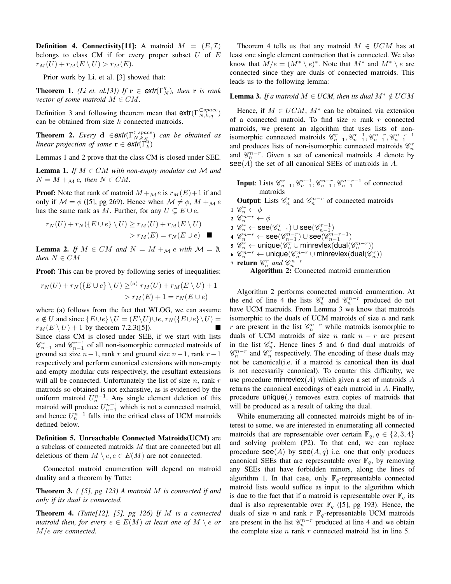**Definition 4. Connectivity**[11]: A matroid  $M = (E, \mathcal{I})$ belongs to class CM if for every proper subset  $U$  of  $E$  $r_M(U) + r_M(E \setminus U) > r_M(E).$ 

Prior work by Li. et al. [3] showed that:

**Theorem 1.** *(Li et. al.[3])* If  $\mathbf{r} \in \text{extr}(\Gamma_N^q)$ , then r is rank *vector of some matroid*  $M \in CM$ .

Definition 3 and following theorem mean that  $\textsf{extr}(\Gamma^{\text{Cspace}}_{N,k,q})$ can be obtained from size  $k$  connected matroids.

**Theorem 2.** *Every* **d**  $\in$ **extr**( $\Gamma_{N,k,q}^{\text{Cspace}}$ ) *can be obtained as linear projection of some*  $\mathbf{r} \in \text{extr}(\Gamma_k^q)$ 

Lemmas 1 and 2 prove that the class CM is closed under SEE.

**Lemma 1.** *If*  $M \in CM$  *with non-empty modular cut*  $M$  *and*  $N = M +_{\mathcal{M}} e$ , then  $N \in CM$ .

**Proof:** Note that rank of matroid  $M +_{\mathcal{M}} e$  is  $r_M(E) + 1$  if and only if  $M = \phi$  ([5], pg 269). Hence when  $M \neq \phi$ ,  $M +_{M} e$ has the same rank as M. Further, for any  $U \subseteq E \cup e$ ,

$$
r_N(U) + r_N(\lbrace E \cup e \rbrace \setminus U) \ge r_M(U) + r_M(E \setminus U)
$$
  
>  $r_M(E) = r_N(E \cup e)$ 

**Lemma 2.** *If*  $M \in CM$  *and*  $N = M +_{\mathcal{M}} e$  *with*  $\mathcal{M} = \emptyset$ *, then*  $N \in CM$ 

Proof: This can be proved by following series of inequalities:

$$
r_N(U) + r_N(\lbrace E \cup e \rbrace \setminus U) \geq^{(a)} r_M(U) + r_M(E \setminus U) + 1
$$
  
> 
$$
r_M(E) + 1 = r_N(E \cup e)
$$

where (a) follows from the fact that WLOG, we can assume  $e \notin U$  and since  $\{E \cup e\} \backslash U = (E \backslash U) \cup e$ ,  $r_N(\{E \cup e\} \backslash U) =$  $r_M(E \setminus U) + 1$  by theorem 7.2.3([5]). Since class CM is closed under SEE, if we start with lists  $\mathscr{C}_{n-1}^r$  and  $\mathscr{C}_{n-1}^{r-1}$  of all non-isomorphic connected matroids of ground set size  $n-1$ , rank r and ground size  $n-1$ , rank  $r-1$ respectively and perform canonical extensions with non-empty and empty modular cuts respectively, the resultant extensions will all be connected. Unfortunately the list of size  $n$ , rank  $r$ matroids so obtained is not exhaustive, as is evidenced by the uniform matroid  $U_n^{n-1}$ . Any single element deletion of this matroid will produce  $U_{n-1}^{n-1}$  which is not a connected matroid, and hence  $U_n^{n-1}$  falls into the critical class of UCM matroids defined below.

Definition 5. Unreachable Connected Matroids(UCM) are a subclass of connected matroids M that are connected but all deletions of them  $M \setminus e, e \in E(M)$  are not connected.

Connected matroid enumeration will depend on matroid duality and a theorem by Tutte:

Theorem 3. *( [5], pg 123) A matroid* M *is connected if and only if its dual is connected.*

Theorem 4. *(Tutte[12], [5], pg 126) If* M *is a connected matroid then, for every*  $e \in E(M)$  *at least one of*  $M \setminus e$  *or* M/e *are connected.*

Theorem 4 tells us that any matroid  $M \in UCM$  has at least one single element contraction that is connected. We also know that  $M/e = (M^* \setminus e)^*$ . Note that  $M^*$  and  $M^* \setminus e$  are connected since they are duals of connected matroids. This leads us to the following lemma:

## **Lemma 3.** *If a matroid*  $M \in UCM$ , *then its dual*  $M^* \notin UCM$

Hence, if  $M \in UCM$ ,  $M^*$  can be obtained via extension of a connected matroid. To find size  $n$  rank  $r$  connected matroids, we present an algorithm that uses lists of nonisomorphic connected matroids  $\mathcal{C}_{n-1}^r, \mathcal{C}_{n-1}^{r-1}, \mathcal{C}_{n-1}^{n-r}, \mathcal{C}_{n-1}^{n-r-1}$ and produces lists of non-isomorphic connected matroids  $\mathcal{C}_n^r$ and  $\mathcal{C}_n^{n-r}$ . Given a set of canonical matroids A denote by  $\text{see}(A)$  the set of all canonical SEEs of matroids in A.

Input: Lists  $\mathscr{C}_{n-1}^r, \mathscr{C}_{n-1}^{r-1}, \mathscr{C}_{n-1}^{n-r}, \mathscr{C}_{n-1}^{n-r-1}$  of connected matroids

**Output**: Lists  $\mathcal{C}_n^r$  and  $\mathcal{C}_n^{n-r}$  of connected matroids

1  $\mathscr{C}_n^r \leftarrow \phi$ 2  $\mathscr{C}_n^{n-r} \leftarrow \phi$  $\bm{3} \ \ \widehat{\mathscr{C}}_n^r \leftarrow \texttt{see}(\mathscr{C}_{n-1}^r) \cup \texttt{see}(\mathscr{C}_{n-1}^{r-1})$  $4 \ \mathscr{C}_{n}^{n-r} \leftarrow \mathsf{see}(\mathscr{C}_{n-1}^{n-r}) \cup \mathsf{see}(\mathscr{C}_{n-1}^{n-r-1})$  $\mathfrak{s} \ \mathscr{C}_n^r \leftarrow \mathsf{unique}(\mathscr{C}_n^r \cup \mathsf{minrevlex}(\mathsf{dual}(\mathscr{C}_n^{n-r}))$ 6  $\mathscr{C}_n^{n-r}$  ← unique $(\mathscr{C}_n^{n-r} \cup \text{minrevlex}(\text{dual}(\mathscr{C}_n^{r}))$ 7 **return**  $\mathcal{C}_n^r$  and  $\mathcal{C}_n^{n-r}$ <br>**Algorithm 2:** Connected matroid enumeration

Algorithm 2 performs connected matroid enumeration. At the end of line 4 the lists  $\mathcal{C}_n^r$  and  $\mathcal{C}_n^{n-r}$  produced do not have UCM matroids. From Lemma 3 we know that matroids isomorphic to the duals of UCM matroids of size  $n$  and rank r are present in the list  $\mathcal{C}_n^{n-r}$  while matroids isomorphic to duals of UCM matroids of size n rank  $n - r$  are present in the list  $\mathcal{C}_n^r$ . Hence lines 5 and 6 find dual matroids of  $\mathscr{C}_n^{n-r}$  and  $\mathscr{C}_n^r$  respectively. The encoding of these duals may not be canonical(i.e. if a matroid is canonical then its dual is not necessarily canonical). To counter this difficulty, we

use procedure minrevlex $(A)$  which given a set of matroids A returns the canonical encodings of each matroid in A. Finally, procedure unique(.) removes extra copies of matroids that will be produced as a result of taking the dual.

While enumerating all connected matroids might be of interest to some, we are interested in enumerating all connected matroids that are representable over certain  $\mathbb{F}_q, q \in \{2, 3, 4\}$ and solving problem (P2). To that end, we can replace procedure  $\text{see}(A)$  by  $\text{see}(A, q)$  i.e. one that only produces canonical SEEs that are representable over  $\mathbb{F}_q$ , by removing any SEEs that have forbidden minors, along the lines of algorithm 1. In that case, only  $\mathbb{F}_q$ -representable connected matroid lists would suffice as input to the algorithm which is due to the fact that if a matroid is representable over  $\mathbb{F}_q$  its dual is also representable over  $\mathbb{F}_q$  ([5], pg 193). Hence, the duals of size *n* and rank  $r \mathbb{F}_q$ -representable UCM matroids are present in the list  $\mathcal{C}_n^{n-r}$  produced at line 4 and we obtain the complete size  $n$  rank  $r$  connected matroid list in line 5.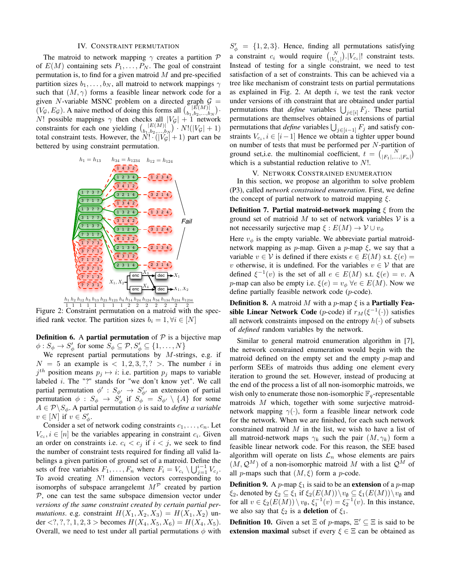#### IV. CONSTRAINT PERMUTATION

The matroid to network mapping  $\gamma$  creates a partition  $\mathcal P$ of  $E(M)$  containing sets  $P_1, \ldots, P_N$ . The goal of constraint permutation is, to find for a given matroid  $M$  and pre-specified partition sizes  $b_1, \ldots, b_N$ , all matroid to network mappings  $\gamma$ such that  $(M, \gamma)$  forms a feasible linear network code for a given N-variable MSNC problem on a directed graph  $G =$  $(V_g, E_g)$ . A naive method of doing this forms all  ${|\vec{E}(M)| \choose b_1, b_2, ..., b_N}$ . N! possible mappings  $\gamma$  then checks all  $|V_{\mathcal{G}}| + 1$  network constraints for each one yielding  $\binom{|E(M)|}{b_1, b_2, ..., b_N} \cdot N! (|V_{\mathcal{G}}| + 1)$ total constraint tests. However, the  $\overline{N!} \cdot (|\overline{V_g}| + 1)$  part can be bettered by using constraint permutation.



1 2 2 2 2 Figure 2: Constraint permutation on a matroid with the specified rank vector. The partition sizes  $b_i = 1, \forall i \in [N]$ 

**Definition 6.** A **partial permutation** of  $P$  is a bijective map  $\phi: S_{\phi} \to S_{\phi}'$  for some  $S_{\phi} \subseteq \mathcal{P}, S_{\phi}' \subseteq \{1, \ldots, N\}$ 

We represent partial permutations by  $M$ -strings, e.g. if  $N = 5$  an example is  $< 1, 2, 3, ?$ ,  $>$ . The number i in  $j<sup>th</sup>$  position means  $p_j \mapsto i$ : i.e. partition  $p_j$  maps to variable labeled  $i$ . The "?" stands for "we don't know yet". We call partial permutation  $\phi' : S_{\phi'} \to S'_{\phi'}$  an extension of partial permutation  $\phi : S_\phi \to S_\phi'$  if  $S_\phi' = S_{\phi'} \setminus \{A\}$  for some  $A \in \mathcal{P} \backslash S_{\phi}$ . A partial permutation  $\phi$  is said to *define a variable*  $v \in [N]$  if  $v \in S'_\phi$ .

Consider a set of network coding constraints  $c_1, \ldots, c_n$ . Let  $V_{c_i}$ ,  $i \in [n]$  be the variables appearing in constraint  $c_i$ . Given an order on constraints i.e.  $c_i < c_j$  if  $i < j$ , we seek to find the number of constraint tests required for finding all valid labelings a given partition of ground set of a matroid. Define the sets of free variables  $F_1, \ldots, F_n$  where  $F_i = V_{c_i} \setminus \bigcup_{j=1}^{i-1} V_{c_j}$ . To avoid creating N! dimension vectors corresponding to isomorphs of subspace arrangelemt  $M^{\mathcal{P}}$  created by partion  $P$ , one can test the same subspace dimension vector under *versions of the same constraint created by certain partial permutations*. e.g. constraint  $H(X_1, X_2, X_3) = H(X_1, X_2)$  under <?, ?, ?, 1, 2, 3 > becomes  $H(X_4, X_5, X_6) = H(X_4, X_5)$ . Overall, we need to test under all partial permutations  $\phi$  with

 $S'_{\phi} = \{1, 2, 3\}$ . Hence, finding all permutations satisfying a constraint  $c_i$  would require  $\binom{N}{|V_{c_i}|}$   $|V_{c_i}|!$  constraint tests. Instead of testing for a single constraint, we need to test satisfaction of a set of constraints. This can be achieved via a tree like mechanism of constraint tests on partial permutations as explained in Fig. 2. At depth  $i$ , we test the rank vector under versions of ith constraint that are obtained under partial permutations that *define* variables  $\bigcup_{j \in [i]} F_j$ . These partial permutations are themselves obtained as extensions of partial permutations that *define* variables  $\bigcup_{j \in [i-1]} F_j$  and satisfy constraints  $V_{c_i}$ ,  $i \in [i-1]$  Hence we obtain a tighter upper bound on number of tests that must be performed per  $N$ -partition of ground set,i.e. the multinomial coefficient,  $t = \begin{pmatrix} N \\ |F_1|, \dots, |F_n| \end{pmatrix}$ which is a substantial reduction relative to  $N!$ .

#### V. NETWORK CONSTRAINED ENUMERATION

In this section, we propose an algorithm to solve problem (P3), called *network constrained enumeration*. First, we define the concept of partial network to matroid mapping  $\xi$ .

**Definition 7. Partial matroid-network mapping**  $\xi$  **from the** ground set of matrioid  $M$  to set of network variables  $V$  is a not necessarily surjective map  $\xi : E(M) \to V \cup v_{\phi}$ 

Here  $v_{\phi}$  is the empty variable. We abbreviate partial matroidnetwork mapping as p-map. Given a p-map  $\xi$ , we say that a variable  $v \in V$  is defined if there exists  $e \in E(M)$  s.t.  $\xi(e) =$ v otherwise, it is undefined. For the variables  $v \in V$  that are defined  $\xi^{-1}(v)$  is the set of all  $e \in E(M)$  s.t.  $\xi(e) = v$ . A p-map can also be empty i.e.  $\xi(e) = v_{\phi} \ \forall e \in E(M)$ . Now we define partially feasible network code (p-code).

**Definition 8.** A matroid M with a p-map  $\xi$  is a **Partially Fea**sible Linear Network Code (*p*-code) if  $r_M(\xi^{-1}(\cdot))$  satisfies all network constraints imposed on the entropy  $h(\cdot)$  of subsets of *defined* random variables by the network.

Similar to general matroid enumeration algorithm in [7], the network constrained enumeration would begin with the matroid defined on the empty set and the empty p-map and perform SEEs of matroids thus adding one element every iteration to ground the set. However, instead of producing at the end of the process a list of all non-isomorphic matroids, we wish only to enumerate those non-isomorphic  $\mathbb{F}_q$ -representable matroids M which, together with some surjective matroidnetwork mapping  $\gamma(\cdot)$ , form a feasible linear network code for the network. When we are finished, for each such network constrained matroid  $M$  in the list, we wish to have a list of all matroid-network maps  $\gamma_k$  such the pair  $(M, \gamma_k)$  form a feasible linear network code. For this reason, the SEE based algorithm will operate on lists  $\mathcal{L}_n$  whose elements are pairs  $(M, Q^M)$  of a non-isomorphic matroid M with a list  $Q^M$  of all *p*-maps such that  $(M, \xi)$  form a *p*-code.

**Definition 9.** A *p*-map  $\xi_1$  is said to be an **extension** of a *p*-map  $\xi_2$ , denoted by  $\xi_2 \subseteq \xi_1$  if  $\xi_2(E(M)) \setminus v_\emptyset \subseteq \xi_1(E(M)) \setminus v_\emptyset$  and for all  $v \in \xi_2(E(M)) \setminus v_\emptyset$ ,  $\xi_1^{-1}(v) = \xi_2^{-1}(v)$ . In this instance, we also say that  $\xi_2$  is a **deletion** of  $\xi_1$ .

**Definition 10.** Given a set  $\Xi$  of *p*-maps,  $\Xi' \subseteq \Xi$  is said to be extension maximal subset if every  $\xi \in \Xi$  can be obtained as